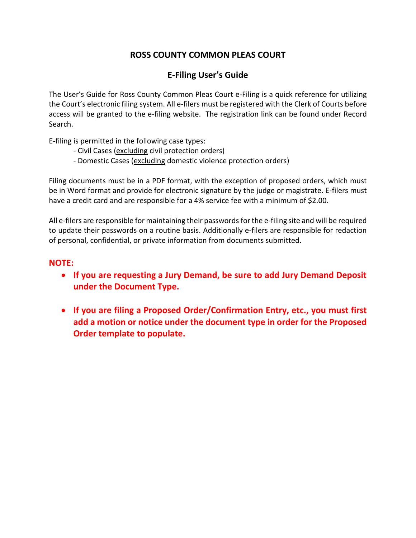# **ROSS COUNTY COMMON PLEAS COURT**

# **E-Filing User's Guide**

The User's Guide for Ross County Common Pleas Court e-Filing is a quick reference for utilizing the Court's electronic filing system. All e-filers must be registered with the Clerk of Courts before access will be granted to the e-filing website. The registration link can be found under Record Search.

E-filing is permitted in the following case types:

- Civil Cases (excluding civil protection orders)
- Domestic Cases (excluding domestic violence protection orders)

Filing documents must be in a PDF format, with the exception of proposed orders, which must be in Word format and provide for electronic signature by the judge or magistrate. E-filers must have a credit card and are responsible for a 4% service fee with a minimum of \$2.00.

All e-filers are responsible for maintaining their passwords for the e-filing site and will be required to update their passwords on a routine basis. Additionally e-filers are responsible for redaction of personal, confidential, or private information from documents submitted.

# **NOTE:**

- **If you are requesting a Jury Demand, be sure to add Jury Demand Deposit under the Document Type.**
- **If you are filing a Proposed Order/Confirmation Entry, etc., you must first add a motion or notice under the document type in order for the Proposed Order template to populate.**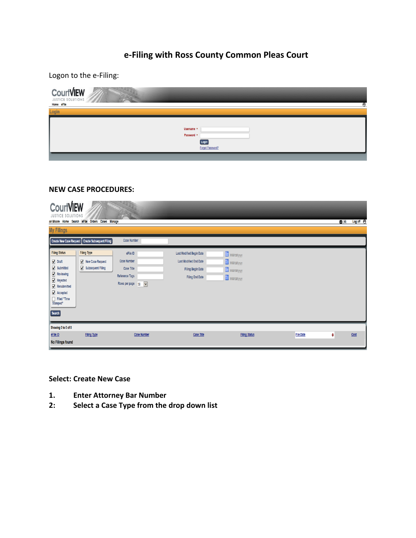# **e-Filing with Ross County Common Pleas Court**

Logon to the e-Filing:

| CourtVIEW |                                                       |  |
|-----------|-------------------------------------------------------|--|
| Login     |                                                       |  |
|           | Username *<br>Password *<br>Login<br>Forgot Password? |  |

### **NEW CASE PROCEDURES:**

| <b>CourtVIEW</b><br>JUSTICE SOLUTIONS<br><b>My Filings</b>                                                                                                                                                                                                                                                                   | ori Moore Home Search eFile Orders Cases Manage<br>Create New Case Request   Create Subsequent Filing | $\sim$ 8<br><b>Case Number</b>                                                                                 |                                                                                                                 |                                                 |                  | $\boxtimes$ (4) | Log off <b>in</b> |
|------------------------------------------------------------------------------------------------------------------------------------------------------------------------------------------------------------------------------------------------------------------------------------------------------------------------------|-------------------------------------------------------------------------------------------------------|----------------------------------------------------------------------------------------------------------------|-----------------------------------------------------------------------------------------------------------------|-------------------------------------------------|------------------|-----------------|-------------------|
| <b>Filing Status</b><br>$\nabla$ Draft<br>$\sqrt{\phantom{a}}$ Submitted<br>$\sqrt{\phantom{a}}$ Reviewing<br>$\sqrt{\phantom{a}}$ Rejected<br>$\sqrt{\phantom{a}}$ Resubmitted<br>$\sqrt{\phantom{a}}$ Accepted<br>$\begin{tabular}{ c c } \hline & \text{Filed "Time} \\ \hline \text{Stamped"} \end{tabular}$<br>[Search] | <b>Filing Type</b><br>New Case Request<br>Subsequent Filing                                           | eFile ID<br><b>Case Number</b><br>Case Title<br>Reference Tags<br>Rows per page 30<br>$\vert \mathbf{v} \vert$ | Last Modified Begin Date<br><b>Last Modified End Date</b><br><b>Filing Begin Date</b><br><b>Filing End Date</b> | MMddyyyy<br>MM/dd/yyy<br>MM/dd/yyy<br>MM/dd/yyy |                  |                 |                   |
| Showing 0 to 0 of 0<br>eFile ID<br>No Filings found                                                                                                                                                                                                                                                                          | <b>Filing Type</b>                                                                                    | <b>Case Number</b>                                                                                             | Case Title                                                                                                      | <b>Filing Status</b>                            | <b>File Date</b> | ۰               | Cost              |

# **Select: Create New Case**

- **1. Enter Attorney Bar Number**
- **2: Select a Case Type from the drop down list**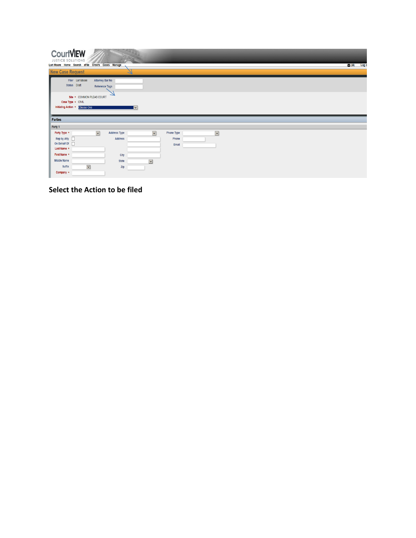| <b>CourtVIEW</b><br>JUSTICE SOLUTIONS<br>Lori Moore Home Search eFile Orders Cases Manage |                                   |              |                          |                | $\boxtimes$ (4)<br>Log o |
|-------------------------------------------------------------------------------------------|-----------------------------------|--------------|--------------------------|----------------|--------------------------|
| <b>New Case Request</b>                                                                   |                                   |              |                          |                |                          |
| Filer Lori Moore<br>Status Draft                                                          | Attorney Bar No<br>Reference Tags |              |                          |                |                          |
| Site * COMMON PLEAS COURT<br>Case Type * CIVIL<br>Initiating Action *<br>Choose One       |                                   |              | ▮◡▏                      |                |                          |
| Parties                                                                                   |                                   |              |                          |                |                          |
| Party 1                                                                                   |                                   |              |                          |                |                          |
| Party Type *                                                                              | $\overline{\mathbf{v}}$           | Address Type | $\vert \mathbf{v} \vert$ | Phone Type     | $\vert \mathbf{v} \vert$ |
| Rep by Atty  <br>On Behalf Of  <br>Last Name *                                            |                                   | Address      |                          | Phone<br>Email |                          |
| First Name *                                                                              |                                   | City         |                          |                |                          |
| Middle Name                                                                               |                                   | <b>State</b> | $\blacktriangledown$     |                |                          |
| <b>Suffix</b><br>Company $*$                                                              | $\overline{\mathsf{v}}$           | Zip          |                          |                |                          |

**Select the Action to be filed**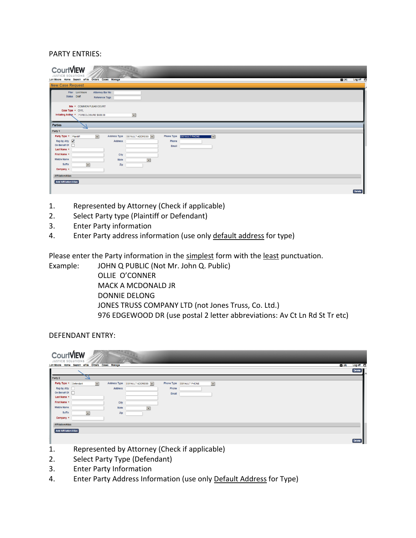#### PARTY ENTRIES:

| <b>CourtVIEW</b><br><b>JUSTICE SOLUTIONS</b><br>Lori Moore Home Search eFile Orders Cases Manage           | $\mathbf{M}$ (4)<br>Log off |
|------------------------------------------------------------------------------------------------------------|-----------------------------|
| <b>New Case Request</b>                                                                                    |                             |
| Filer Lori Moore<br><b>Attorney Bar No</b><br>Status Draft<br>Reference Tags                               |                             |
| Site * COMMON PLEAS COURT<br>Case Type * CIVIL<br>Initiating Action * FORECLOSURE \$600.00<br>$\checkmark$ |                             |
| Parties                                                                                                    |                             |
| Party 1                                                                                                    |                             |
| Party Type * Plaintiff<br>$\vert$ $\vert$<br>Address Type DEFAULT ADDRESS V<br>Phone Type DEFAULT PHONE    | $\overline{\mathbf{r}}$     |
| Rep by Atty $\boxed{\blacktriangle}$<br>Address<br>Phone                                                   |                             |
| On Behalf Of  <br>Email<br>Last Name *                                                                     |                             |
| First Name *<br>City                                                                                       |                             |
| <b>Middle Name</b><br>$\blacktriangledown$<br>State                                                        |                             |
| $\overline{\mathbf{v}}$<br>Suffix<br>Zip                                                                   |                             |
| Company *                                                                                                  |                             |
| <b>Affiliation/Alias</b>                                                                                   |                             |
|                                                                                                            |                             |
| <b>Add Affiliation/Alias</b>                                                                               |                             |
|                                                                                                            | Delete                      |

- 1. Represented by Attorney (Check if applicable)
- 2. Select Party type (Plaintiff or Defendant)
- 3. Enter Party information
- 4. Enter Party address information (use only default address for type)

Please enter the Party information in the simplest form with the least punctuation.

Example: JOHN Q PUBLIC (Not Mr. John Q. Public) OLLIE O'CONNER MACK A MCDONALD JR DONNIE DELONG JONES TRUSS COMPANY LTD (not Jones Truss, Co. Ltd.) 976 EDGEWOOD DR (use postal 2 letter abbreviations: Av Ct Ln Rd St Tr etc)

#### DEFENDANT ENTRY:

| <b>CourtVIEW</b><br><b>JUSTICE SOLUTIONS</b>     |                                |                      |       |                                                  |                               |
|--------------------------------------------------|--------------------------------|----------------------|-------|--------------------------------------------------|-------------------------------|
| Lori Moore Home Search eFile Orders Cases Manage |                                |                      |       | $\mathbb{Z}$ (4)                                 | Log off <b>th</b><br>Delete ] |
|                                                  |                                |                      |       |                                                  |                               |
| Party 2                                          |                                |                      |       |                                                  |                               |
| $\vert$ $\vert$<br>Party Type * Defendant        | Address Type DEFAULT ADDRESS V |                      |       | $\blacktriangledown$<br>Phone Type DEFAULT PHONE |                               |
| Rep by Atty                                      | Address                        |                      | Phone |                                                  |                               |
| On Behalf Of                                     |                                |                      | Email |                                                  |                               |
| Last Name *                                      |                                |                      |       |                                                  |                               |
| First Name *                                     | City                           |                      |       |                                                  |                               |
| Middle Name                                      | State                          | $\blacktriangledown$ |       |                                                  |                               |
| Suffix<br>$\checkmark$                           | Zip                            |                      |       |                                                  |                               |
| Company *                                        |                                |                      |       |                                                  |                               |
| <b>Affiliation/Alias</b>                         |                                |                      |       |                                                  |                               |
| Add Affiliation/Alias                            |                                |                      |       |                                                  |                               |
|                                                  |                                |                      |       |                                                  |                               |
|                                                  |                                |                      |       |                                                  | <b>Delete</b>                 |

- 1. Represented by Attorney (Check if applicable)
- 2. Select Party Type (Defendant)
- 3. Enter Party Information
- 4. Enter Party Address Information (use only Default Address for Type)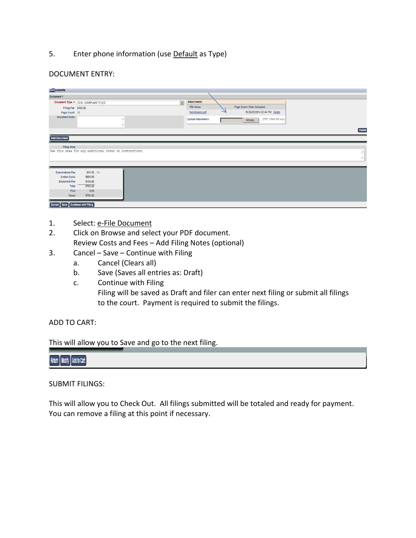5. Enter phone information (use Default as Type)

### DOCUMENT ENTRY:

| <b>Documents</b>                 |                                                         |                      |                          |                               |          |
|----------------------------------|---------------------------------------------------------|----------------------|--------------------------|-------------------------------|----------|
| Document 1                       |                                                         |                      |                          |                               |          |
|                                  | Document Type * CIVIL COMPLAINT FILED                   | $\blacktriangledown$ | <b>Attachments</b>       |                               |          |
| Filing Fee \$158.00              |                                                         |                      | File Name                | Page Count Date Uploaded      |          |
| Page Count 10                    |                                                         |                      | foreclosures.pdf         | 10 06/20/2016 02:44 PM Delete |          |
| <b>Document Note</b>             |                                                         | Λ                    | <b>Upload Attachment</b> | (PDF 10048 KB max)<br>Browse  |          |
|                                  |                                                         | $\checkmark$         |                          |                               |          |
|                                  |                                                         |                      |                          |                               | Delete   |
|                                  |                                                         |                      |                          |                               |          |
| Add Document                     |                                                         |                      |                          |                               |          |
| <b>Filing Note</b>               |                                                         |                      |                          |                               |          |
|                                  | Use this area for any additional notes or instructions. |                      |                          |                               | $\wedge$ |
|                                  |                                                         |                      |                          |                               | $\vee$   |
|                                  |                                                         |                      |                          |                               |          |
|                                  |                                                         |                      |                          |                               |          |
| <b>Convenience Fee</b>           | \$31.58 4%                                              |                      |                          |                               |          |
| <b>Action Costs</b>              | \$600.00                                                |                      |                          |                               |          |
| <b>Document Fee</b>              | \$158.00                                                |                      |                          |                               |          |
| Total                            | \$789.58                                                |                      |                          |                               |          |
| Paid                             | \$.00                                                   |                      |                          |                               |          |
| Owed                             | \$789.58                                                |                      |                          |                               |          |
| Cancel Save Continue with Filing |                                                         |                      |                          |                               |          |
|                                  |                                                         |                      |                          |                               |          |

- 1. Select: e-File Document
- 2. Click on Browse and select your PDF document. Review Costs and Fees – Add Filing Notes (optional)
- 3. Cancel Save Continue with Filing
	- a. Cancel (Clears all)
	- b. Save (Saves all entries as: Draft)
	- c. Continue with Filing Filing will be saved as Draft and filer can enter next filing or submit all filings to the court. Payment is required to submit the filings.

## ADD TO CART:

This will allow you to Save and go to the next filing.

# Return | Modify | Add to Cart

## SUBMIT FILINGS:

This will allow you to Check Out. All filings submitted will be totaled and ready for payment. You can remove a filing at this point if necessary.